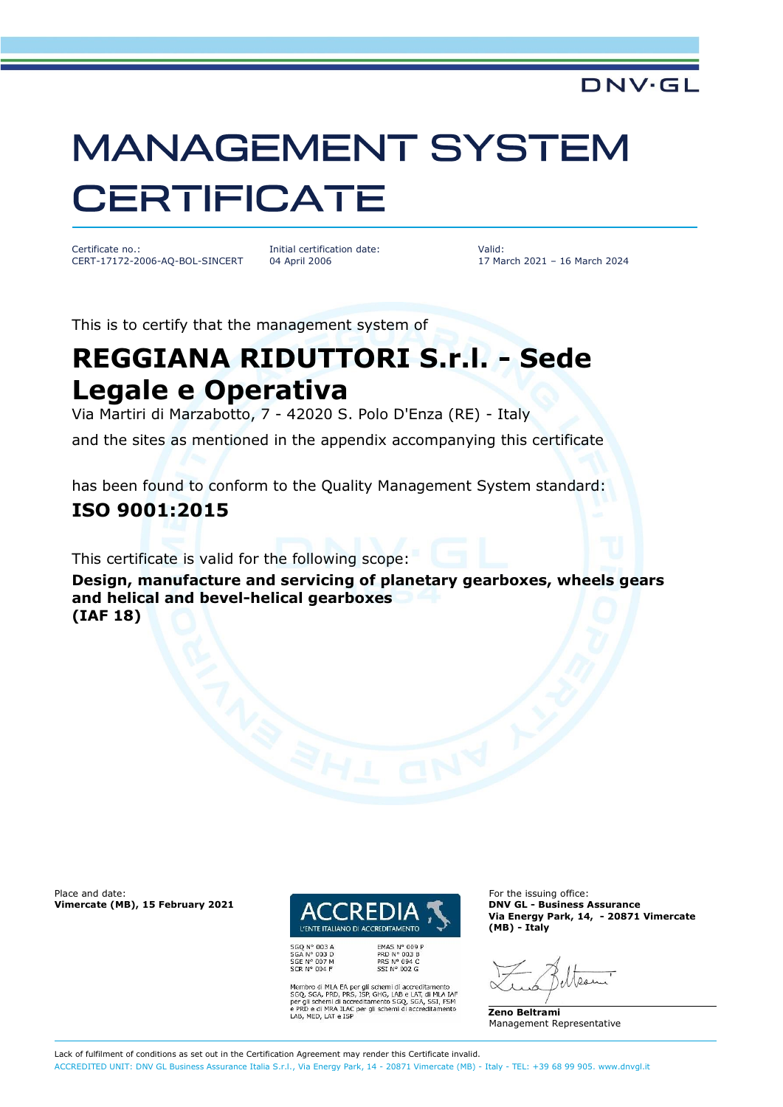## **MANAGEMENT SYSTEM CERTIFICATE**

Certificate no.: CERT-17172-2006-AQ-BOL-SINCERT Initial certification date: 04 April 2006

Valid: 17 March 2021 – 16 March 2024

DNV·GL

This is to certify that the management system of

## **REGGIANA RIDUTTORI S.r.l. - Sede Legale e Operativa**

Via Martiri di Marzabotto, 7 - 42020 S. Polo D'Enza (RE) - Italy

and the sites as mentioned in the appendix accompanying this certificate

has been found to conform to the Quality Management System standard: **ISO 9001:2015**

This certificate is valid for the following scope:

**Design, manufacture and servicing of planetary gearboxes, wheels gears and helical and bevel-helical gearboxes (IAF 18)**

Place and date:<br> **Place and date:** For the issuing office:<br> **Place and date:** For the issuing office:<br> **Place and date:** For the issuing office:



SGQ N° 003 A<br>SGA N° 003 D<br>SGE N° 007 M<br>SCR N° 004 F

FMAS Nº 009 P PRD N° 003 B<br>PRS N° 094 C<br>SSI N° 002 G

Membro di MLA EA per gli schemi di accreditamento<br>SGQ, SGA, PRD, PRS, ISP, GHG, LAB e LAT, di MLA IAF<br>per gli schemi di accreditamento SGQ, SGA, SSI, FSM<br>e PRD e di MRA ILAC per gli schemi di accreditamento LAB, MED, LAT e ISP

**Vimercate (MB), 15 February 2021 DNV GL - Business Assurance Via Energy Park, 14, - 20871 Vimercate (MB) - Italy**

 $0.91$ 

**Zeno Beltrami** Management Representative